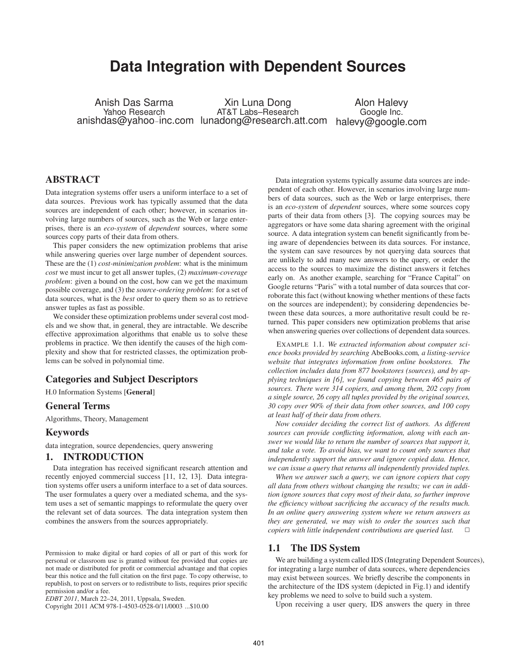# **Data Integration with Dependent Sources**

Anish Das Sarma Yahoo Research anishdas@yahoo-inc.com lunadong@research.att.com halevy@google.com Xin Luna Dong AT&T Labs–Research Alon Halevy Google Inc.

# **ABSTRACT**

Data integration systems offer users a uniform interface to a set of data sources. Previous work has typically assumed that the data sources are independent of each other; however, in scenarios involving large numbers of sources, such as the Web or large enterprises, there is an *eco-system* of *dependent* sources, where some sources copy parts of their data from others.

This paper considers the new optimization problems that arise while answering queries over large number of dependent sources. These are the (1) *cost-minimization problem*: what is the minimum *cost* we must incur to get all answer tuples, (2) *maximum-coverage problem*: given a bound on the cost, how can we get the maximum possible coverage, and (3) the *source-ordering problem*: for a set of data sources, what is the *best* order to query them so as to retrieve answer tuples as fast as possible.

We consider these optimization problems under several cost models and we show that, in general, they are intractable. We describe effective approximation algorithms that enable us to solve these problems in practice. We then identify the causes of the high complexity and show that for restricted classes, the optimization problems can be solved in polynomial time.

# **Categories and Subject Descriptors**

H.0 Information Systems [**General**]

# **General Terms**

Algorithms, Theory, Management

# **Keywords**

data integration, source dependencies, query answering

# **1. INTRODUCTION**

Data integration has received significant research attention and recently enjoyed commercial success [11, 12, 13]. Data integration systems offer users a uniform interface to a set of data sources. The user formulates a query over a mediated schema, and the system uses a set of semantic mappings to reformulate the query over the relevant set of data sources. The data integration system then combines the answers from the sources appropriately.

Copyright 2011 ACM 978-1-4503-0528-0/11/0003 ...\$10.00

Data integration systems typically assume data sources are independent of each other. However, in scenarios involving large numbers of data sources, such as the Web or large enterprises, there is an *eco-system* of *dependent* sources, where some sources copy parts of their data from others [3]. The copying sources may be aggregators or have some data sharing agreement with the original source. A data integration system can benefit significantly from being aware of dependencies between its data sources. For instance, the system can save resources by not querying data sources that are unlikely to add many new answers to the query, or order the access to the sources to maximize the distinct answers it fetches early on. As another example, searching for "France Capital" on Google returns "Paris" with a total number of data sources that corroborate this fact (without knowing whether mentions of these facts on the sources are independent); by considering dependencies between these data sources, a more authoritative result could be returned. This paper considers new optimization problems that arise when answering queries over collections of dependent data sources.

EXAMPLE 1.1. *We extracted information about computer science books provided by searching* AbeBooks.com*, a listing-service website that integrates information from online bookstores. The collection includes data from 877 bookstores (sources), and by applying techniques in [6], we found copying between 465 pairs of sources. There were 314 copiers, and among them, 202 copy from a single source, 26 copy all tuples provided by the original sources, 30 copy over 90% of their data from other sources, and 100 copy at least half of their data from others.*

*Now consider deciding the correct list of authors. As different sources can provide conflicting information, along with each answer we would like to return the number of sources that support it, and take a vote. To avoid bias, we want to count only sources that independently support the answer and ignore copied data. Hence, we can issue a query that returns all independently provided tuples.*

*When we answer such a query, we can ignore copiers that copy all data from others without changing the results; we can in addition ignore sources that copy most of their data, so further improve the efficiency without sacrificing the accuracy of the results much. In an online query answering system where we return answers as they are generated, we may wish to order the sources such that copiers with little independent contributions are queried last.* 

# **1.1 The IDS System**

We are building a system called IDS (Integrating Dependent Sources), for integrating a large number of data sources, where dependencies may exist between sources. We briefly describe the components in the architecture of the IDS system (depicted in Fig.1) and identify key problems we need to solve to build such a system.

Upon receiving a user query, IDS answers the query in three

Permission to make digital or hard copies of all or part of this work for personal or classroom use is granted without fee provided that copies are not made or distributed for profit or commercial advantage and that copies bear this notice and the full citation on the first page. To copy otherwise, to republish, to post on servers or to redistribute to lists, requires prior specific permission and/or a fee.

*EDBT 2011*, March 22–24, 2011, Uppsala, Sweden.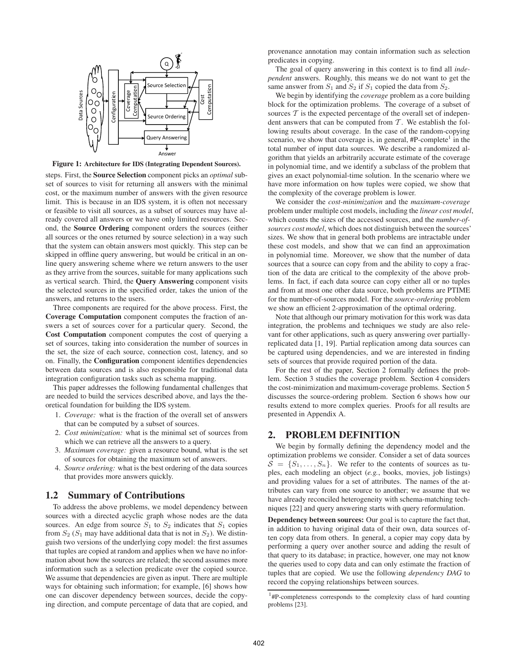

**Figure 1: Architecture for IDS (Integrating Dependent Sources).**

steps. First, the **Source Selection** component picks an *optimal* subset of sources to visit for returning all answers with the minimal cost, or the maximum number of answers with the given resource limit. This is because in an IDS system, it is often not necessary or feasible to visit all sources, as a subset of sources may have already covered all answers or we have only limited resources. Second, the **Source Ordering** component orders the sources (either all sources or the ones returned by source selection) in a way such that the system can obtain answers most quickly. This step can be skipped in offline query answering, but would be critical in an online query answering scheme where we return answers to the user as they arrive from the sources, suitable for many applications such as vertical search. Third, the **Query Answering** component visits the selected sources in the specified order, takes the union of the answers, and returns to the users.

Three components are required for the above process. First, the **Coverage Computation** component computes the fraction of answers a set of sources cover for a particular query. Second, the **Cost Computation** component computes the cost of querying a set of sources, taking into consideration the number of sources in the set, the size of each source, connection cost, latency, and so on. Finally, the **Configuration** component identifies dependencies between data sources and is also responsible for traditional data integration configuration tasks such as schema mapping.

This paper addresses the following fundamental challenges that are needed to build the services described above, and lays the theoretical foundation for building the IDS system.

- 1. *Coverage:* what is the fraction of the overall set of answers that can be computed by a subset of sources.
- 2. *Cost minimization:* what is the minimal set of sources from which we can retrieve all the answers to a query.
- 3. *Maximum coverage:* given a resource bound, what is the set of sources for obtaining the maximum set of answers.
- 4. *Source ordering:* what is the best ordering of the data sources that provides more answers quickly.

# **1.2 Summary of Contributions**

To address the above problems, we model dependency between sources with a directed acyclic graph whose nodes are the data sources. An edge from source  $S_1$  to  $S_2$  indicates that  $S_1$  copies from  $S_2$  ( $S_1$  may have additional data that is not in  $S_2$ ). We distinguish two versions of the underlying copy model: the first assumes that tuples are copied at random and applies when we have no information about how the sources are related; the second assumes more information such as a selection predicate over the copied source. We assume that dependencies are given as input. There are multiple ways for obtaining such information; for example, [6] shows how one can discover dependency between sources, decide the copying direction, and compute percentage of data that are copied, and

provenance annotation may contain information such as selection predicates in copying.

The goal of query answering in this context is to find all *independent* answers. Roughly, this means we do not want to get the same answer from  $S_1$  and  $S_2$  if  $S_1$  copied the data from  $S_2$ .

We begin by identifying the *coverage* problem as a core building block for the optimization problems. The coverage of a subset of sources  $T$  is the expected percentage of the overall set of independent answers that can be computed from  $T$ . We establish the following results about coverage. In the case of the random-copying scenario, we show that coverage is, in general,  $\#P$ -complete<sup>1</sup> in the total number of input data sources. We describe a randomized algorithm that yields an arbitrarily accurate estimate of the coverage in polynomial time, and we identify a subclass of the problem that gives an exact polynomial-time solution. In the scenario where we have more information on how tuples were copied, we show that the complexity of the coverage problem is lower.

We consider the *cost-minimization* and the *maximum-coverage* problem under multiple cost models, including the *linear cost model*, which counts the sizes of the accessed sources, and the *number-ofsources cost model*, which does not distinguish between the sources' sizes. We show that in general both problems are intractable under these cost models, and show that we can find an approximation in polynomial time. Moreover, we show that the number of data sources that a source can copy from and the ability to copy a fraction of the data are critical to the complexity of the above problems. In fact, if each data source can copy either all or no tuples and from at most one other data source, both problems are PTIME for the number-of-sources model. For the *source-ordering* problem we show an efficient 2-approximation of the optimal ordering.

Note that although our primary motivation for this work was data integration, the problems and techniques we study are also relevant for other applications, such as query answering over partiallyreplicated data [1, 19]. Partial replication among data sources can be captured using dependencies, and we are interested in finding sets of sources that provide required portion of the data.

For the rest of the paper, Section 2 formally defines the problem. Section 3 studies the coverage problem. Section 4 considers the cost-minimization and maximum-coverage problems. Section 5 discusses the source-ordering problem. Section 6 shows how our results extend to more complex queries. Proofs for all results are presented in Appendix A.

# **2. PROBLEM DEFINITION**

We begin by formally defining the dependency model and the optimization problems we consider. Consider a set of data sources  $S = \{S_1, \ldots, S_n\}$ . We refer to the contents of sources as tuples, each modeling an object (*e.g.*, books, movies, job listings) and providing values for a set of attributes. The names of the attributes can vary from one source to another; we assume that we have already reconciled heterogeneity with schema-matching techniques [22] and query answering starts with query reformulation.

**Dependency between sources:** Our goal is to capture the fact that, in addition to having original data of their own, data sources often copy data from others. In general, a copier may copy data by performing a query over another source and adding the result of that query to its database; in practice, however, one may not know the queries used to copy data and can only estimate the fraction of tuples that are copied. We use the following *dependency DAG* to record the copying relationships between sources.

<sup>&</sup>lt;sup>1</sup>#P-completeness corresponds to the complexity class of hard counting problems [23].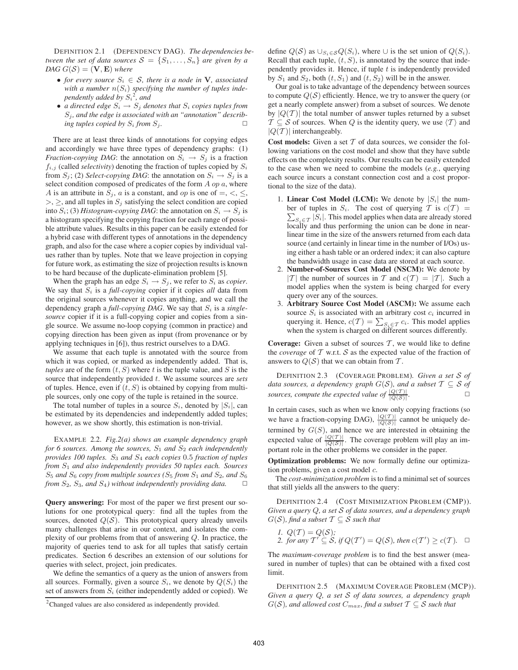DEFINITION 2.1 (DEPENDENCY DAG). *The dependencies between the set of data sources*  $S = \{S_1, \ldots, S_n\}$  *are given by a*  $DAG G(S) = (\mathbf{V}, \mathbf{E})$  *where* 

- *for every source*  $S_i \in S$ *, there is a node in* **V***, associated* with a number  $n(S_i)$  specifying the number of tuples independently added by  $S_i^2$ , and
- *a directed edge*  $S_i \rightarrow S_j$  *denotes that*  $S_i$  *copies tuples from* S<sub>j</sub>, and the edge is associated with an "annotation" describ*ing tuples copied by*  $S_i$  *from*  $S_j$ *.*  $\Box$

There are at least three kinds of annotations for copying edges and accordingly we have three types of dependency graphs: (1) *Fraction-copying DAG*: the annotation on  $S_i \rightarrow S_j$  is a fraction  $f_{i,j}$  (called *selectivity*) denoting the fraction of tuples copied by  $S_i$ from  $S_j$ ; (2) *Select-copying DAG*: the annotation on  $S_i \rightarrow S_j$  is a select condition composed of predicates of the form  $A$  op  $a$ , where A is an attribute in  $S_i$ , a is a constant, and op is one of  $=$ ,  $\lt$ ,  $\leq$ ,  $>$ ,  $\ge$ , and all tuples in  $S_i$  satisfying the select condition are copied into  $S_i$ ; (3) *Histogram-copying DAG*: the annotation on  $S_i \to S_j$  is a histogram specifying the copying fraction for each range of possible attribute values. Results in this paper can be easily extended for a hybrid case with different types of annotations in the dependency graph, and also for the case where a copier copies by individual values rather than by tuples. Note that we leave projection in copying for future work, as estimating the size of projection results is known to be hard because of the duplicate-elimination problem [5].

When the graph has an edge  $S_i \rightarrow S_j$ , we refer to  $S_i$  as *copier*. We say that  $S_i$  is a *full-copying* copier if it copies *all* data from the original sources whenever it copies anything, and we call the dependency graph a *full-copying DAG*. We say that  $S_i$  is a *singlesource* copier if it is a full-copying copier and copies from a single source. We assume no-loop copying (common in practice) and copying direction has been given as input (from provenance or by applying techniques in [6]), thus restrict ourselves to a DAG.

We assume that each tuple is annotated with the source from which it was copied, or marked as independently added. That is, *tuples* are of the form  $(t, S)$  where t is the tuple value, and S is the source that independently provided t. We assume sources are *sets* of tuples. Hence, even if  $(t, S)$  is obtained by copying from multiple sources, only one copy of the tuple is retained in the source.

The total number of tuples in a source  $S_i$ , denoted by  $|S_i|$ , can be estimated by its dependencies and independently added tuples; however, as we show shortly, this estimation is non-trivial.

EXAMPLE 2.2. *Fig.2(a) shows an example dependency graph for* 6 sources. Among the sources,  $S_1$  and  $S_2$  each independently *provides 100 tuples.* S<sup>3</sup> *and* S<sup>4</sup> *each copies* 0.5 *fraction of tuples from* S<sup>1</sup> *and also independently provides 50 tuples each. Sources*  $S_5$  *and*  $S_6$  *copy from multiple sources* ( $S_5$  *from*  $S_1$  *and*  $S_2$ *, and*  $S_6$ *from*  $S_2$ ,  $S_3$ , and  $S_4$ ) without independently providing data.  $\Box$ 

**Query answering:** For most of the paper we first present our solutions for one prototypical query: find all the tuples from the sources, denoted  $Q(S)$ . This prototypical query already unveils many challenges that arise in our context, and isolates the complexity of our problems from that of answering Q. In practice, the majority of queries tend to ask for all tuples that satisfy certain predicates. Section 6 describes an extension of our solutions for queries with select, project, join predicates.

We define the semantics of a query as the union of answers from all sources. Formally, given a source  $S_i$ , we denote by  $Q(S_i)$  the set of answers from  $S_i$  (either independently added or copied). We

define  $Q(S)$  as  $\cup_{S_i \in \mathcal{S}} Q(S_i)$ , where  $\cup$  is the set union of  $Q(S_i)$ . Recall that each tuple,  $(t, S)$ , is annotated by the source that independently provides it. Hence, if tuple  $t$  is independently provided by  $S_1$  and  $S_2$ , both  $(t, S_1)$  and  $(t, S_2)$  will be in the answer.

Our goal is to take advantage of the dependency between sources to compute  $Q(S)$  efficiently. Hence, we try to answer the query (or get a nearly complete answer) from a subset of sources. We denote by  $|Q(T)|$  the total number of answer tuples returned by a subset  $\mathcal{T} \subseteq \mathcal{S}$  of sources. When Q is the identity query, we use  $\langle \mathcal{T} \rangle$  and  $|Q(T)|$  interchangeably.

**Cost models:** Given a set  $T$  of data sources, we consider the following variations on the cost model and show that they have subtle effects on the complexity results. Our results can be easily extended to the case when we need to combine the models (*e.g.*, querying each source incurs a constant connection cost and a cost proportional to the size of the data).

- 1. **Linear Cost Model (LCM):** We denote by  $|S_i|$  the number of tuples in  $S_i$ . The cost of querying T is  $c(T)$  =  $\sum_{S_i \in \mathcal{T}} |S_i|$ . This model applies when data are already stored locally and thus performing the union can be done in nearlinear time in the size of the answers returned from each data source (and certainly in linear time in the number of I/Os) using either a hash table or an ordered index; it can also capture the bandwidth usage in case data are stored at each source.
- 2. **Number-of-Sources Cost Model (NSCM):** We denote by |T| the number of sources in T and  $c(T) = |T|$ . Such a model applies when the system is being charged for every query over any of the sources.
- 3. **Arbitrary Source Cost Model (ASCM):** We assume each source  $S_i$  is associated with an arbitrary cost  $c_i$  incurred in querying it. Hence,  $c(\mathcal{T}) = \sum_{S_i \in \mathcal{T}} c_i$ . This model applies when the system is charged on different sources differently.

**Coverage:** Given a subset of sources  $T$ , we would like to define the *coverage* of  $T$  w.r.t.  $S$  as the expected value of the fraction of answers to  $Q(S)$  that we can obtain from T.

DEFINITION 2.3 (COVERAGE PROBLEM). *Given a set* S *of data sources, a dependency graph*  $G(S)$ *, and a subset*  $T \subseteq S$  *of sources, compute the expected value of*  $\frac{|Q(T)|}{|Q(S)|}$ **.** △ □

In certain cases, such as when we know only copying fractions (so we have a fraction-copying DAG),  $\frac{|Q(T)|}{|Q(S)|}$  cannot be uniquely determined by  $G(S)$ , and hence we are interested in obtaining the expected value of  $\frac{|Q(T)|}{|Q(S)|}$ . The coverage problem will play an important role in the other problems we consider in the paper.

**Optimization problems:** We now formally define our optimization problems, given a cost model c.

The *cost-minimization problem* is to find a minimal set of sources that still yields all the answers to the query:

DEFINITION 2.4 (COST MINIMIZATION PROBLEM (CMP)). *Given a query* Q*, a set* S *of data sources, and a dependency graph*  $G(S)$ *, find a subset*  $T \subseteq S$  *such that* 

1. 
$$
Q(T) = Q(S)
$$
;  
2. for any  $T' \subseteq S$ , if  $Q(T') = Q(S)$ , then  $c(T') \ge c(T)$ .  $\square$ 

The *maximum-coverage problem* is to find the best answer (measured in number of tuples) that can be obtained with a fixed cost limit.

DEFINITION 2.5 (MAXIMUM COVERAGE PROBLEM (MCP)). *Given a query* Q*, a set* S *of data sources, a dependency graph*  $G(S)$ *, and allowed cost*  $C_{max}$ *, find a subset*  $T \subseteq S$  *such that* 

<sup>&</sup>lt;sup>2</sup>Changed values are also considered as independently provided.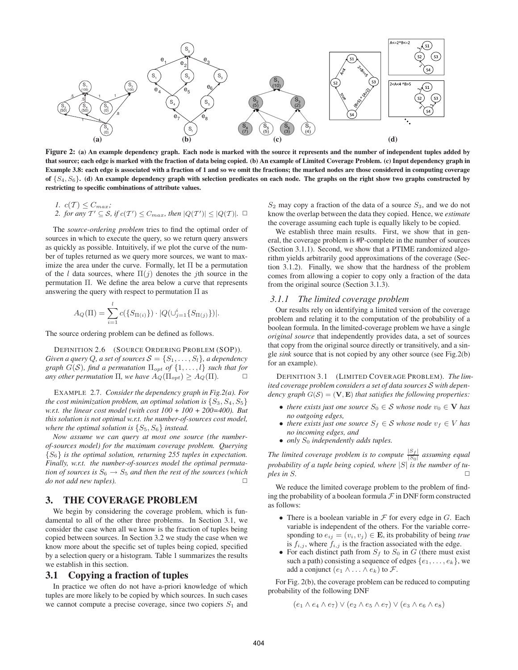

**Figure 2: (a) An example dependency graph. Each node is marked with the source it represents and the number of independent tuples added by that source; each edge is marked with the fraction of data being copied. (b) An example of Limited Coverage Problem. (c) Input dependency graph in Example 3.8: each edge is associated with a fraction of 1 and so we omit the fractions; the marked nodes are those considered in computing coverage of** {S4, S6}**. (d) An example dependency graph with selection predicates on each node. The graphs on the right show two graphs constructed by restricting to specific combinations of attribute values.**

1. 
$$
c(T) \leq C_{max}
$$
;  
2. for any  $T' \subseteq S$ , if  $c(T') \leq C_{max}$ , then  $|Q(T')| \leq |Q(T)|$ .  $\Box$ 

The *source-ordering problem* tries to find the optimal order of sources in which to execute the query, so we return query answers as quickly as possible. Intuitively, if we plot the curve of the number of tuples returned as we query more sources, we want to maximize the area under the curve. Formally, let  $\Pi$  be a permutation of the l data sources, where  $\Pi(j)$  denotes the jth source in the permutation Π. We define the area below a curve that represents answering the query with respect to permutation  $\Pi$  as

$$
A_Q(\Pi) = \sum_{i=1}^l c(\{S_{\Pi(i)}\}) \cdot |Q(\cup_{j=1}^i \{S_{\Pi(j)}\})|.
$$

The source ordering problem can be defined as follows.

DEFINITION 2.6 (SOURCE ORDERING PROBLEM (SOP)). *Given a query Q, a set of sources*  $S = \{S_1, \ldots, S_l\}$ *, a dependency graph*  $G(S)$ *, find a permutation*  $\Pi_{opt}$  *of*  $\{1, \ldots, l\}$  *such that for any other permutation*  $\Pi$ *, we have*  $A_Q(\Pi_{opt}) \geq A_Q(\Pi)$ *.*  $\Box$ 

EXAMPLE 2.7. *Consider the dependency graph in Fig.2(a). For the cost minimization problem, an optimal solution is*  $\{S_3, S_4, S_5\}$ *w.r.t. the linear cost model (with cost 100 + 100 + 200=400). But this solution is not optimal w.r.t. the number-of-sources cost model, where the optimal solution is* {S5, S6} *instead.*

*Now assume we can query at most one source (the numberof-sources model) for the maximum coverage problem. Querying* {S6} *is the optimal solution, returning 255 tuples in expectation. Finally, w.r.t. the number-of-sources model the optimal permutation of sources is*  $S_6 \rightarrow S_5$  *and then the rest of the sources (which do not add new tuples).* 

# **3. THE COVERAGE PROBLEM**

We begin by considering the coverage problem, which is fundamental to all of the other three problems. In Section 3.1, we consider the case when all we know is the fraction of tuples being copied between sources. In Section 3.2 we study the case when we know more about the specific set of tuples being copied, specified by a selection query or a histogram. Table 1 summarizes the results we establish in this section.

#### **3.1 Copying a fraction of tuples**

In practice we often do not have a-priori knowledge of which tuples are more likely to be copied by which sources. In such cases we cannot compute a precise coverage, since two copiers  $S_1$  and

 $S_2$  may copy a fraction of the data of a source  $S_3$ , and we do not know the overlap between the data they copied. Hence, we *estimate* the coverage assuming each tuple is equally likely to be copied.

We establish three main results. First, we show that in general, the coverage problem is #P-complete in the number of sources (Section 3.1.1). Second, we show that a PTIME randomized algorithm yields arbitrarily good approximations of the coverage (Section 3.1.2). Finally, we show that the hardness of the problem comes from allowing a copier to copy only a fraction of the data from the original source (Section 3.1.3).

#### *3.1.1 The limited coverage problem*

Our results rely on identifying a limited version of the coverage problem and relating it to the computation of the probability of a boolean formula. In the limited-coverage problem we have a single *original source* that independently provides data, a set of sources that copy from the original source directly or transitively, and a single *sink* source that is not copied by any other source (see Fig.2(b) for an example).

DEFINITION 3.1 (LIMITED COVERAGE PROBLEM). *The limited coverage problem considers a set of data sources* S *with dependency graph*  $G(S) = (\mathbf{V}, \mathbf{E})$  *that satisfies the following properties:* 

- *there exists just one source*  $S_0 \in S$  *whose node*  $v_0 \in V$  *has no outgoing edges,*
- *there exists just one source*  $S_f \in S$  *whose node*  $v_f \in V$  *has no incoming edges, and*
- *only*  $S_0$  *independently adds tuples.*

*The limited coverage problem is to compute*  $\frac{|S_f|}{|S_0|}$  assuming equal *probability of a tuple being copied, where* |S| *is the number of tu* $p$ *les in* S.  $\Box$ 

We reduce the limited coverage problem to the problem of finding the probability of a boolean formula  $\mathcal F$  in DNF form constructed as follows:

- There is a boolean variable in  $\mathcal F$  for every edge in  $G$ . Each variable is independent of the others. For the variable corresponding to  $e_{ij} = (v_i, v_j) \in \mathbf{E}$ , its probability of being *true* is  $f_{i,j}$ , where  $f_{i,j}$  is the fraction associated with the edge.
- For each distinct path from  $S_f$  to  $S_0$  in G (there must exist such a path) consisting a sequence of edges  $\{e_1, \ldots, e_k\}$ , we add a conjunct  $(e_1 \wedge \ldots \wedge e_k)$  to  $\mathcal{F}$ .

For Fig. 2(b), the coverage problem can be reduced to computing probability of the following DNF

$$
(e_1 \wedge e_4 \wedge e_7) \vee (e_2 \wedge e_5 \wedge e_7) \vee (e_3 \wedge e_6 \wedge e_8)
$$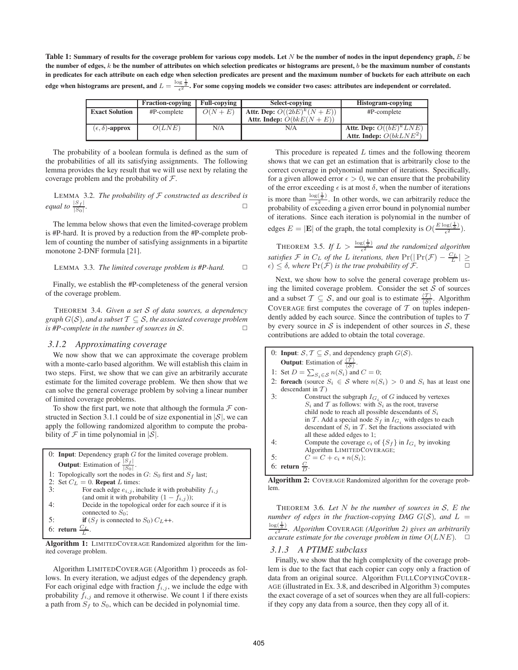**Table 1: Summary of results for the coverage problem for various copy models. Let** N **be the number of nodes in the input dependency graph,** E **be the number of edges,** k **be the number of attributes on which selection predicates or histograms are present,** b **be the maximum number of constants in predicates for each attribute on each edge when selection predicates are present and the maximum number of buckets for each attribute on each** edge when histograms are present, and  $L=\frac{\log\frac{1}{\delta}}{\epsilon^2}$ . For some copying models we consider two cases: attributes are independent or correlated.

|                              | <b>Fraction-copying</b> | <b>Full-copying</b> | Select-copying               | Histogram-copying          |
|------------------------------|-------------------------|---------------------|------------------------------|----------------------------|
| <b>Exact Solution</b>        | $#P$ -complete          | $O(N+E)$            | Attr. Dep: $O((2bE)^k(N+E))$ | $\#P$ -complete            |
|                              |                         |                     | Attr. Indep: $O(bkE(N + E))$ |                            |
| $(\epsilon, \delta)$ -approx | O(LNE)                  | N/A                 | N/A                          | Attr. Dep: $O((bE)^k LNE)$ |
|                              |                         |                     |                              | Attr. Indep: $O(bkLNE^2)$  |

The probability of a boolean formula is defined as the sum of the probabilities of all its satisfying assignments. The following lemma provides the key result that we will use next by relating the coverage problem and the probability of  $\mathcal{F}$ .

LEMMA 3.2. *The probability of* F *constructed as described is equal to*  $\frac{|S_f|}{|S_0|}$ .

The lemma below shows that even the limited-coverage problem is #P-hard. It is proved by a reduction from the #P-complete problem of counting the number of satisfying assignments in a bipartite monotone 2-DNF formula [21].

LEMMA 3.3. The limited coverage problem is 
$$
\#P
$$
-hard.  $\Box$ 

Finally, we establish the #P-completeness of the general version of the coverage problem.

THEOREM 3.4. *Given a set* S *of data sources, a dependency graph*  $G(S)$ *, and a subset*  $T \subseteq S$ *, the associated coverage problem is #P-complete in the number of sources in*  $S$ .  $\Box$ 

#### *3.1.2 Approximating coverage*

We now show that we can approximate the coverage problem with a monte-carlo based algorithm. We will establish this claim in two steps. First, we show that we can give an arbitrarily accurate estimate for the limited coverage problem. We then show that we can solve the general coverage problem by solving a linear number of limited coverage problems.

To show the first part, we note that although the formula  $\mathcal F$  constructed in Section 3.1.1 could be of size exponential in  $|S|$ , we can apply the following randomized algorithm to compute the probability of  $\mathcal F$  in time polynomial in  $|\mathcal S|$ .

|    | 0: <b>Input</b> : Dependency graph $G$ for the limited coverage problem. |
|----|--------------------------------------------------------------------------|
|    | <b>Output:</b> Estimation of $\frac{ S_f }{ S_0 }$ .                     |
|    | 1: Topologically sort the nodes in $G: S_0$ first and $S_f$ last;        |
|    | 2: Set $C_L = 0$ . Repeat L times:                                       |
| 3: | For each edge $e_{i,j}$ , include it with probability $f_{i,j}$          |
|    | (and omit it with probability $(1 - \bar{f}_{i,j})$ );                   |
| 4: | Decide in the topological order for each source if it is                 |
|    | connected to $S_0$ ;                                                     |
| 5: | if $(S_f$ is connected to $S_0$ ) $C_L$ ++.                              |
|    | 6: return $\frac{C_L}{L}$ .                                              |

**Algorithm 1:** LIMITEDCOVERAGE Randomized algorithm for the limited coverage problem.

Algorithm LIMITEDCOVERAGE (Algorithm 1) proceeds as follows. In every iteration, we adjust edges of the dependency graph. For each original edge with fraction  $f_{i,j}$ , we include the edge with probability  $f_{i,j}$  and remove it otherwise. We count 1 if there exists a path from  $S_f$  to  $S_0$ , which can be decided in polynomial time.

This procedure is repeated  $L$  times and the following theorem shows that we can get an estimation that is arbitrarily close to the correct coverage in polynomial number of iterations. Specifically, for a given allowed error  $\epsilon > 0$ , we can ensure that the probability of the error exceeding  $\epsilon$  is at most  $\delta$ , when the number of iterations is more than  $\frac{\log(\frac{1}{\delta})}{\epsilon^2}$ . In other words, we can arbitrarily reduce the probability of exceeding a given error bound in polynomial number of iterations. Since each iteration is polynomial in the number of edges  $E = |\mathbf{E}|$  of the graph, the total complexity is  $O(\frac{E \log(\frac{1}{\delta})}{\epsilon^2})$ .

THEOREM 3.5. If  $L > \frac{\log(\frac{1}{\delta})}{\epsilon^2}$  and the randomized algorithm *satisfies*  $\mathcal F$  *in*  $C_L$  *of the* L *iterations, then*  $Pr(|Pr(\mathcal F) - \frac{C_L}{L}| \ge$  $\epsilon$ )  $\leq \delta$ , where  $\Pr(\mathcal{F})$  *is the true probability of*  $\mathcal{F}$ *.* 

Next, we show how to solve the general coverage problem using the limited coverage problem. Consider the set  $S$  of sources and a subset  $\mathcal{T} \subseteq \mathcal{S}$ , and our goal is to estimate  $\frac{\langle \mathcal{T} \rangle}{\langle \mathcal{S} \rangle}$ . Algorithm COVERAGE first computes the coverage of  $T$  on tuples independently added by each source. Since the contribution of tuples to T by every source in  $S$  is independent of other sources in  $S$ , these contributions are added to obtain the total coverage.



**Algorithm 2:** COVERAGE Randomized algorithm for the coverage problem.

THEOREM 3.6. *Let* N *be the number of sources in* S*,* E *the number of edges in the fraction-copying DAG*  $G(S)$ *, and*  $L =$  $\frac{\log(\frac{1}{\delta})}{\epsilon^2}$ . Algorithm COVERAGE (Algorithm 2) gives an arbitrarily *accurate estimate for the coverage problem in time*  $O(LNE)$ .  $\Box$ 

#### *3.1.3 A PTIME subclass*

Finally, we show that the high complexity of the coverage problem is due to the fact that each copier can copy only a fraction of data from an original source. Algorithm FULLCOPYINGCOVER-AGE (illustrated in Ex. 3.8, and described in Algorithm 3) computes the exact coverage of a set of sources when they are all full-copiers: if they copy any data from a source, then they copy all of it.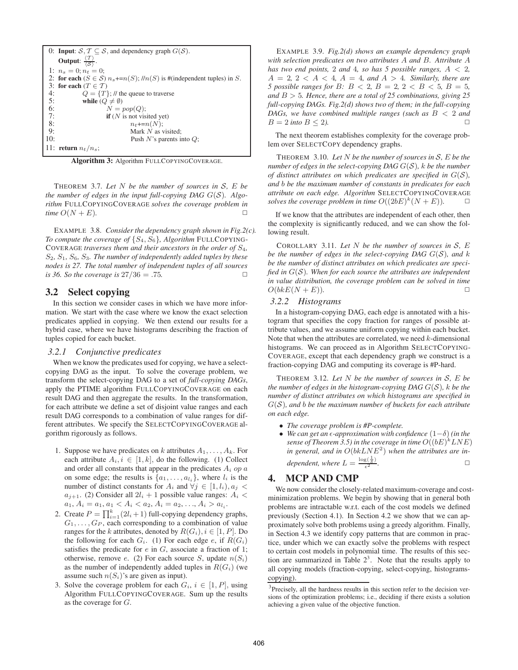0: **Input**:  $S, T \subseteq S$ , and dependency graph  $G(S)$ . **Output**:  $\frac{\langle \mathcal{T} \rangle}{\langle \mathcal{S} \rangle}$ . 1:  $n_s = 0; n_t = 0;$ 2: **for each**  $(S \in S)$   $n_s \neq n(S)$ ;  $\ln(S)$  is #(independent tuples) in S. 3: **for each** ( $T \in \mathcal{T}$ ) 4:  $Q = \{T\}$ ; // the queue to traverse<br>5: while  $(Q \neq \emptyset)$ while  $(Q \neq \emptyset)$ 6:  $N = pop(Q);$ <br>7:  $\text{if } (N \text{ is not vis})$  $\mathbf{if}$  (N is not visited yet) 8:  $n_t + n(N);$ <br>9: Mark N as v 9: Mark  $\overline{N}$  as visited;<br>10: Push  $N$ 's parents i Push  $N$ 's parents into  $Q$ ; 11: **return**  $n_t/n_s$ ;

**Algorithm 3:** Algorithm FULLCOPYINGCOVERAGE.

THEOREM 3.7. *Let* N *be the number of sources in* S*,* E *be the number of edges in the input full-copying DAG* G(S)*. Algorithm* FULLCOPYINGCOVERAGE *solves the coverage problem in time*  $O(N + E)$ .

EXAMPLE 3.8. *Consider the dependency graph shown in Fig.2(c). To compute the coverage of* {S4, S6}*, Algorithm* FULLCOPYING-COVERAGE *traverses them and their ancestors in the order of* S4*,* S2*,* S1*,* S6*,* S3*. The number of independently added tuples by these nodes is 27. The total number of independent tuples of all sources is 36. So the coverage is*  $27/36 = .75$ .

# **3.2 Select copying**

In this section we consider cases in which we have more information. We start with the case where we know the exact selection predicates applied in copying. We then extend our results for a hybrid case, where we have histograms describing the fraction of tuples copied for each bucket.

### *3.2.1 Conjunctive predicates*

When we know the predicates used for copying, we have a selectcopying DAG as the input. To solve the coverage problem, we transform the select-copying DAG to a set of *full-copying DAGs*, apply the PTIME algorithm FULLCOPYINGCOVERAGE on each result DAG and then aggregate the results. In the transformation, for each attribute we define a set of disjoint value ranges and each result DAG corresponds to a combination of value ranges for different attributes. We specify the SELECTCOPYINGCOVERAGE algorithm rigorously as follows.

- 1. Suppose we have predicates on k attributes  $A_1, \ldots, A_k$ . For each attribute  $A_i, i \in [1, k]$ , do the following. (1) Collect and order all constants that appear in the predicates  $A_i$  op a on some edge; the results is  $\{a_1, \ldots, a_{l_i}\}\$ , where  $l_i$  is the number of distinct constants for  $A_i$  and  $\forall j \in [1, l_i), a_j <$  $a_{i+1}$ . (2) Consider all  $2l_i + 1$  possible value ranges:  $A_i <$  $a_1, A_i = a_1, a_1 < A_i < a_2, A_i = a_2, \ldots, A_i > a_{l_i}.$
- 2. Create  $P = \prod_{i=1}^{k} (2l_i + 1)$  full-copying dependency graphs,  $G_1, \ldots, G_P$ , each corresponding to a combination of value ranges for the k attributes, denoted by  $R(G_i), i \in [1, P]$ . Do the following for each  $G_i$ . (1) For each edge e, if  $R(G_i)$ satisfies the predicate for  $e$  in  $G$ , associate a fraction of 1; otherwise, remove e. (2) For each source S, update  $n(S_i)$ as the number of independently added tuples in  $R(G_i)$  (we assume such  $n(S_i)$ 's are given as input).
- 3. Solve the coverage problem for each  $G_i$ ,  $i \in [1, P]$ , using Algorithm FULLCOPYINGCOVERAGE. Sum up the results as the coverage for G.

EXAMPLE 3.9. *Fig.2(d) shows an example dependency graph with selection predicates on two attributes* A *and* B*. Attribute* A *has two end points,* 2 *and* 4*, so has 5 possible ranges,* A < 2*,*  $A = 2, 2 < A < 4, A = 4, and A > 4$ . Similarly, there are *5* possible ranges for B:  $B < 2$ ,  $B = 2$ ,  $2 < B < 5$ ,  $B = 5$ , *and* B > 5*. Hence, there are a total of 25 combinations, giving 25 full-copying DAGs. Fig.2(d) shows two of them; in the full-copying DAGs, we have combined multiple ranges (such as* B < 2 *and*  $B = 2$  *into*  $B \leq 2$ *).* 

The next theorem establishes complexity for the coverage problem over SELECTCOPY dependency graphs.

THEOREM 3.10. *Let* N *be the number of sources in* S*,* E *be the number of edges in the select-copying DAG* G(S)*,* k *be the number of distinct attributes on which predicates are specified in* G(S)*, and* b *be the maximum number of constants in predicates for each attribute on each edge. Algorithm* SELECTCOPYINGCOVERAGE *solves the coverage problem in time*  $O((2bE)^k(N+E))$ .  $\Box$ 

If we know that the attributes are independent of each other, then the complexity is significantly reduced, and we can show the following result.

COROLLARY 3.11. *Let* N *be the number of sources in* S*,* E *be the number of edges in the select-copying DAG*  $G(S)$ *, and* k *be the number of distinct attributes on which predicates are specified in* G(S)*. When for each source the attributes are independent in value distribution, the coverage problem can be solved in time*  $O(bkE(N+E)).$ 

#### *3.2.2 Histograms*

In a histogram-copying DAG, each edge is annotated with a histogram that specifies the copy fraction for ranges of possible attribute values, and we assume uniform copying within each bucket. Note that when the attributes are correlated, we need  $k$ -dimensional histograms. We can proceed as in Algorithm SELECTCOPYING-COVERAGE, except that each dependency graph we construct is a fraction-copying DAG and computing its coverage is #P-hard.

THEOREM 3.12. *Let* N *be the number of sources in* S*,* E *be the number of edges in the histogram-copying DAG* G(S)*,* k *be the number of distinct attributes on which histograms are specified in* G(S)*, and* b *be the maximum number of buckets for each attribute on each edge.*

- *The coverage problem is #P-complete.*
- *We can get an ∈*-*approximation with confidence*  $(1-\delta)$  *(in the* sense of Theorem 3.5) in the coverage in time  $O((bE)^k LNE)$ in general, and in  $O(bkLNE^2)$  when the attributes are in*dependent, where*  $L = \frac{\log(\frac{1}{\delta})}{\epsilon^2}$ .

# **4. MCP AND CMP**

We now consider the closely-related maximum-coverage and costminimization problems. We begin by showing that in general both problems are intractable w.r.t. each of the cost models we defined previously (Section 4.1). In Section 4.2 we show that we can approximately solve both problems using a greedy algorithm. Finally, in Section 4.3 we identify copy patterns that are common in practice, under which we can exactly solve the problems with respect to certain cost models in polynomial time. The results of this section are summarized in Table  $2<sup>3</sup>$ . Note that the results apply to all copying models (fraction-copying, select-copying, histogramscopying).

<sup>&</sup>lt;sup>3</sup>Precisely, all the hardness results in this section refer to the decision versions of the optimization problems; i.e., deciding if there exists a solution achieving a given value of the objective function.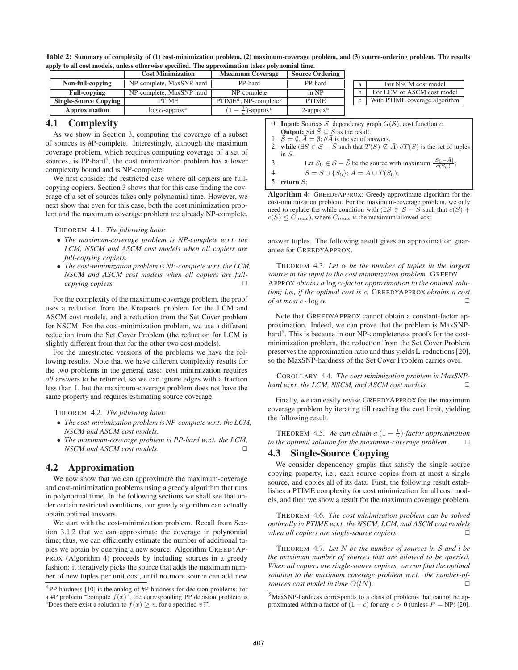**Table 2: Summary of complexity of (1) cost-minimization problem, (2) maximum-coverage problem, and (3) source-ordering problem. The results apply to all cost models, unless otherwise specified. The approximation takes polynomial time.**

|                              | <b>Cost Minimization</b>           | <b>Maximum Coverage</b>                                     | <b>Source Ordering</b>   |        |                               |
|------------------------------|------------------------------------|-------------------------------------------------------------|--------------------------|--------|-------------------------------|
| Non-full-copying             | NP-complete, MaxSNP-hard           | PP-hard                                                     | PP-hard                  |        | For NSCM cost model           |
| <b>Full-copying</b>          | NP-complete, MaxSNP-hard           | NP-complete                                                 | in NP                    |        | For LCM or ASCM cost model    |
| <b>Single-Source Copying</b> | PTIME                              | PTIME <sup><i>a</i></sup> , NP-complete <sup><i>b</i></sup> | PTIME                    | $\sim$ | With PTIME coverage algorithm |
| Approximation                | $\log \alpha$ -approx <sup>c</sup> | $\alpha$ -approx <sup>c</sup>                               | $2$ -approx <sup>c</sup> |        |                               |

# **4.1 Complexity**

As we show in Section 3, computing the coverage of a subset of sources is #P-complete. Interestingly, although the maximum coverage problem, which requires computing coverage of a set of sources, is PP-hard<sup>4</sup>, the cost minimization problem has a lower complexity bound and is NP-complete.

We first consider the restricted case where all copiers are fullcopying copiers. Section 3 shows that for this case finding the coverage of a set of sources takes only polynomial time. However, we next show that even for this case, both the cost minimization problem and the maximum coverage problem are already NP-complete.

#### THEOREM 4.1. *The following hold:*

- *The maximum-coverage problem is NP-complete w.r.t. the LCM, NSCM and ASCM cost models when all copiers are full-copying copiers.*
- *The cost-minimization problem is NP-complete w.r.t. the LCM, NSCM and ASCM cost models when all copiers are fullcopying copiers.* ✷

For the complexity of the maximum-coverage problem, the proof uses a reduction from the Knapsack problem for the LCM and ASCM cost models, and a reduction from the Set Cover problem for NSCM. For the cost-minimization problem, we use a different reduction from the Set Cover Problem (the reduction for LCM is slightly different from that for the other two cost models).

For the unrestricted versions of the problems we have the following results. Note that we have different complexity results for the two problems in the general case: cost minimization requires *all* answers to be returned, so we can ignore edges with a fraction less than 1, but the maximum-coverage problem does not have the same property and requires estimating source coverage.

THEOREM 4.2. *The following hold:*

- *The cost-minimization problem is NP-complete w.r.t. the LCM, NSCM and ASCM cost models.*
- *The maximum-coverage problem is PP-hard w.r.t. the LCM, NSCM and ASCM cost models.*

# **4.2 Approximation**

We now show that we can approximate the maximum-coverage and cost-minimization problems using a greedy algorithm that runs in polynomial time. In the following sections we shall see that under certain restricted conditions, our greedy algorithm can actually obtain optimal answers.

We start with the cost-minimization problem. Recall from Section 3.1.2 that we can approximate the coverage in polynomial time; thus, we can efficiently estimate the number of additional tuples we obtain by querying a new source. Algorithm GREEDYAP-PROX (Algorithm 4) proceeds by including sources in a greedy fashion: it iteratively picks the source that adds the maximum number of new tuples per unit cost, until no more source can add new

| 0: <b>Input:</b> Sources S, dependency graph $G(S)$ , cost function c.<br><b>Output:</b> Set $\overline{S} \subset \mathcal{S}$ as the result. |
|------------------------------------------------------------------------------------------------------------------------------------------------|
| 1: $\bar{S} = \emptyset$ , $\bar{A} = \emptyset$ ; // $\bar{A}$ is the set of answers.                                                         |
| 2: while $(\exists S \in \mathcal{S} - \overline{S}$ such that $T(S) \not\subseteq \overline{A}$ // $T(S)$ is the set of tuples                |
| in $S$ .                                                                                                                                       |
| Let $S_0 \in \mathcal{S} - \overline{S}$ be the source with maximum $\frac{ S_0 - \overline{A} }{c(S_0)}$ ;<br>3:                              |
| 4:<br>$\bar{S} = \bar{S} \cup \{S_0\}; \bar{A} = \bar{A} \cup T(S_0);$                                                                         |
| 5: return $\bar{S}$ ;                                                                                                                          |

**Algorithm 4:** GREEDYAPPROX: Greedy approximate algorithm for the cost-minimization problem. For the maximum-coverage problem, we only need to replace the while condition with ( $\exists S \in S - \overline{S}$  such that  $c(\overline{S}) +$  $c(S) \leq C_{max}$ , where  $C_{max}$  is the maximum allowed cost.

answer tuples. The following result gives an approximation guarantee for GREEDYAPPROX.

THEOREM 4.3. *Let* α *be the number of tuples in the largest source in the input to the cost minimization problem.* GREEDY APPROX *obtains a* log α*-factor approximation to the optimal solution; i.e., if the optimal cost is* c*,* GREEDYAPPROX *obtains a cost of at most*  $c \cdot \log \alpha$ .

Note that GREEDYAPPROX cannot obtain a constant-factor approximation. Indeed, we can prove that the problem is MaxSNPhard<sup>5</sup>. This is because in our NP-completeness proofs for the costminimization problem, the reduction from the Set Cover Problem preserves the approximation ratio and thus yields L-reductions [20], so the MaxSNP-hardness of the Set Cover Problem carries over.

COROLLARY 4.4. *The cost minimization problem is MaxSNP* $hard$  w.r.t. the LCM, NSCM, and ASCM cost models.  $\Box$ 

Finally, we can easily revise GREEDYAPPROX for the maximum coverage problem by iterating till reaching the cost limit, yielding the following result.

THEOREM 4.5. *We can obtain a*  $(1 - \frac{1}{e})$ -factor approximation *to the optimal solution for the maximum-coverage problem.* 

### **4.3 Single-Source Copying**

We consider dependency graphs that satisfy the single-source copying property, i.e., each source copies from at most a single source, and copies all of its data. First, the following result establishes a PTIME complexity for cost minimization for all cost models, and then we show a result for the maximum coverage problem.

THEOREM 4.6. *The cost minimization problem can be solved optimally in PTIME w.r.t. the NSCM, LCM, and ASCM cost models when all copiers are single-source copiers.*  $\Box$ 

THEOREM 4.7. *Let* N *be the number of sources in* S *and* l *be the maximum number of sources that are allowed to be queried. When all copiers are single-source copiers, we can find the optimal solution to the maximum coverage problem w.r.t. the number-ofsources cost model in time*  $O(lN)$ *.*  $\Box$ 

 $^{4}$ PP-hardness [10] is the analog of #P-hardness for decision problems: for a #P problem "compute  $f(x)$ ", the corresponding PP decision problem is "Does there exist a solution to  $f(x) \ge v$ , for a specified v?".

<sup>&</sup>lt;sup>5</sup>MaxSNP-hardness corresponds to a class of problems that cannot be approximated within a factor of  $(1 + \epsilon)$  for any  $\epsilon > 0$  (unless  $P = NP$ ) [20].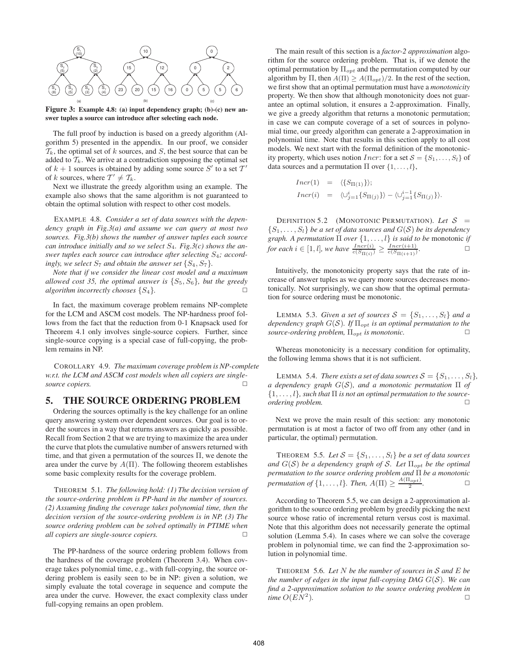

**Figure 3: Example 4.8: (a) input dependency graph; (b)-(c) new answer tuples a source can introduce after selecting each node.**

The full proof by induction is based on a greedy algorithm (Algorithm 5) presented in the appendix. In our proof, we consider  $\mathcal{T}_k$ , the optimal set of k sources, and S, the best source that can be added to  $T_k$ . We arrive at a contradiction supposing the optimal set of  $k + 1$  sources is obtained by adding some source S' to a set  $T'$ of k sources, where  $T' \neq T_k$ .

Next we illustrate the greedy algorithm using an example. The example also shows that the same algorithm is not guaranteed to obtain the optimal solution with respect to other cost models.

EXAMPLE 4.8. *Consider a set of data sources with the dependency graph in Fig.3(a) and assume we can query at most two sources. Fig.3(b) shows the number of answer tuples each source can introduce initially and so we select* S4*. Fig.3(c) shows the answer tuples each source can introduce after selecting* S4*; accordingly, we select*  $S_7$  *and obtain the answer set*  $\{S_4, S_7\}$ *.* 

*Note that if we consider the linear cost model and a maximum allowed cost 35, the optimal answer is*  $\{S_5, S_6\}$ *, but the greedy algorithm incorrectly chooses*  $\{S_4\}$ .

In fact, the maximum coverage problem remains NP-complete for the LCM and ASCM cost models. The NP-hardness proof follows from the fact that the reduction from 0-1 Knapsack used for Theorem 4.1 only involves single-source copiers. Further, since single-source copying is a special case of full-copying, the problem remains in NP.

COROLLARY 4.9. *The maximum coverage problem is NP-complete w.r.t. the LCM and ASCM cost models when all copiers are singlesource copiers.* ✷

# **5. THE SOURCE ORDERING PROBLEM**

Ordering the sources optimally is the key challenge for an online query answering system over dependent sources. Our goal is to order the sources in a way that returns answers as quickly as possible. Recall from Section 2 that we are trying to maximize the area under the curve that plots the cumulative number of answers returned with time, and that given a permutation of the sources Π, we denote the area under the curve by  $A(\Pi)$ . The following theorem establishes some basic complexity results for the coverage problem.

THEOREM 5.1. *The following hold: (1) The decision version of the source-ordering problem is PP-hard in the number of sources. (2) Assuming finding the coverage takes polynomial time, then the decision version of the source-ordering problem is in NP. (3) The source ordering problem can be solved optimally in PTIME when all copiers are single-source copiers.* □

The PP-hardness of the source ordering problem follows from the hardness of the coverage problem (Theorem 3.4). When coverage takes polynomial time, e.g., with full-copying, the source ordering problem is easily seen to be in NP: given a solution, we simply evaluate the total coverage in sequence and compute the area under the curve. However, the exact complexity class under full-copying remains an open problem.

The main result of this section is a *factor-2 approximation* algorithm for the source ordering problem. That is, if we denote the optimal permutation by  $\Pi_{opt}$  and the permutation computed by our algorithm by  $\Pi$ , then  $A(\Pi) \geq A(\Pi_{opt})/2$ . In the rest of the section, we first show that an optimal permutation must have a *monotonicity* property. We then show that although monotonicity does not guarantee an optimal solution, it ensures a 2-approximation. Finally, we give a greedy algorithm that returns a monotonic permutation; in case we can compute coverage of a set of sources in polynomial time, our greedy algorithm can generate a 2-approximation in polynomial time. Note that results in this section apply to all cost models. We next start with the formal definition of the monotonicity property, which uses notion Incr: for a set  $S = \{S_1, \ldots, S_l\}$  of data sources and a permutation  $\Pi$  over  $\{1, \ldots, l\}$ ,

$$
Incr(1) = \langle \{S_{\Pi(1)}\} \rangle;
$$
  
\n
$$
Incr(i) = \langle \cup_{j=1}^{i} \{S_{\Pi(j)}\} \rangle - \langle \cup_{j=1}^{i-1} \{S_{\Pi(j)}\} \rangle.
$$

DEFINITION 5.2 (MONOTONIC PERMUTATION). Let  $S =$  $\{S_1, \ldots, S_l\}$  *be a set of data sources and*  $G(S)$  *be its dependency graph. A permutation* Π *over* {1, . . . , l} *is said to be* monotonic *if for each*  $i \in [1, l]$ *, we have*  $\frac{Incr(i)}{c(S_{\Pi(i)})} \geq \frac{Incr(i+1)}{c(S_{\Pi(i+1)})}$ *.*  $\Box$ 

Intuitively, the monotonicity property says that the rate of increase of answer tuples as we query more sources decreases monotonically. Not surprisingly, we can show that the optimal permutation for source ordering must be monotonic.

LEMMA 5.3. *Given a set of sources*  $S = \{S_1, \ldots, S_l\}$  *and a dependency graph*  $G(S)$ *. If*  $\Pi_{opt}$  *is an optimal permutation to the source-ordering problem,* Π<sub>*opt</sub> is monotonic.*</sub>

Whereas monotonicity is a necessary condition for optimality, the following lemma shows that it is not sufficient.

LEMMA 5.4. *There exists a set of data sources*  $S = \{S_1, \ldots, S_l\}$ *, a dependency graph* G(S)*, and a monotonic permutation* Π *of*  $\{1,\ldots,l\}$ , such that  $\Pi$  *is not an optimal permutation to the sourceordering problem.* ✷

Next we prove the main result of this section: any monotonic permutation is at most a factor of two off from any other (and in particular, the optimal) permutation.

THEOREM 5.5. Let  $S = \{S_1, \ldots, S_l\}$  be a set of data sources *and*  $G(S)$  *be a dependency graph of* S. Let  $\Pi_{opt}$  *be the optimal permutation to the source ordering problem and* Π *be a monotonic permutation of*  $\{1, \ldots, l\}$ *. Then,*  $A(\Pi) \geq \frac{A(\Pi_{opt})}{2}$ *.* ✷

According to Theorem 5.5, we can design a 2-approximation algorithm to the source ordering problem by greedily picking the next source whose ratio of incremental return versus cost is maximal. Note that this algorithm does not necessarily generate the optimal solution (Lemma 5.4). In cases where we can solve the coverage problem in polynomial time, we can find the 2-approximation solution in polynomial time.

THEOREM 5.6. *Let* N *be the number of sources in* S *and* E *be the number of edges in the input full-copying DAG* G(S)*. We can find a 2-approximation solution to the source ordering problem in time*  $O(EN^2)$ . )*.* ✷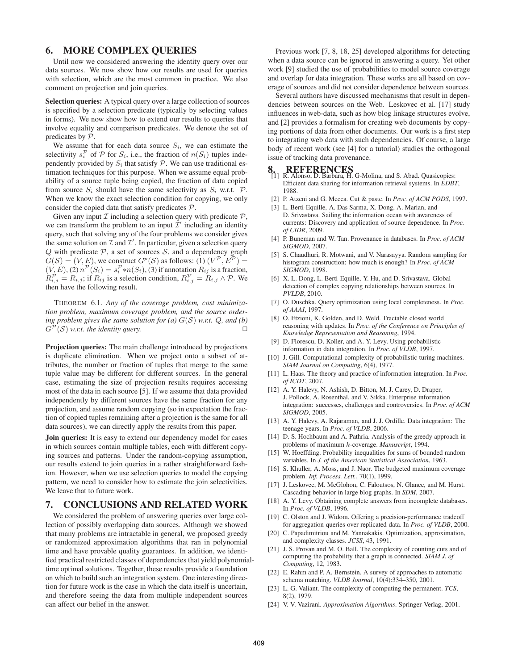# **6. MORE COMPLEX QUERIES**

Until now we considered answering the identity query over our data sources. We now show how our results are used for queries with selection, which are the most common in practice. We also comment on projection and join queries.

**Selection queries:** A typical query over a large collection of sources is specified by a selection predicate (typically by selecting values in forms). We now show how to extend our results to queries that involve equality and comparison predicates. We denote the set of predicates by P.

We assume that for each data source  $S_i$ , we can estimate the selectivity  $s_i^{\mathcal{P}}$  of  $\mathcal{P}$  for  $S_i$ , i.e., the fraction of  $n(S_i)$  tuples independently provided by  $S_i$  that satisfy  $P$ . We can use traditional estimation techniques for this purpose. When we assume equal probability of a source tuple being copied, the fraction of data copied from source  $S_i$  should have the same selectivity as  $S_i$  w.r.t.  $\mathcal{P}$ . When we know the exact selection condition for copying, we only consider the copied data that satisfy predicates P.

Given any input  $\mathcal I$  including a selection query with predicate  $\mathcal P$ , we can transform the problem to an input  $\mathcal{I}'$  including an identity query, such that solving any of the four problems we consider gives the same solution on  $\mathcal I$  and  $\mathcal I'$ . In particular, given a selection query  $Q$  with predicate  $P$ , a set of sources  $S$ , and a dependency graph  $G(S) = (V, E)$ , we construct  $G^p(S)$  as follows: (1)  $(V^p, E^p) =$  $(V, E)$ , (2)  $n^{\mathcal{P}}(S_i) = s_i^{\mathcal{P}} * n(S_i)$ , (3) if annotation  $R_{ij}$  is a fraction,  $R_{i,j}^{\mathcal{P}} = R_{i,j}$ ; if  $R_{ij}$  is a selection condition,  $R_{i,j}^{\mathcal{P}} = R_{i,j} \wedge \mathcal{P}$ . We then have the following result.

THEOREM 6.1. *Any of the coverage problem, cost minimization problem, maximum coverage problem, and the source ordering problem gives the same solution for (a)*  $G(S)$  *w.r.t.*  $Q$ *, and (b)*  $G^{\mathcal{P}}(\mathcal{S})$  w.r.t. the identity query.

**Projection queries:** The main challenge introduced by projections is duplicate elimination. When we project onto a subset of attributes, the number or fraction of tuples that merge to the same tuple value may be different for different sources. In the general case, estimating the size of projection results requires accessing most of the data in each source [5]. If we assume that data provided independently by different sources have the same fraction for any projection, and assume random copying (so in expectation the fraction of copied tuples remaining after a projection is the same for all data sources), we can directly apply the results from this paper.

**Join queries:** It is easy to extend our dependency model for cases in which sources contain multiple tables, each with different copying sources and patterns. Under the random-copying assumption, our results extend to join queries in a rather straightforward fashion. However, when we use selection queries to model the copying pattern, we need to consider how to estimate the join selectivities. We leave that to future work.

# **7. CONCLUSIONS AND RELATED WORK**

We considered the problem of answering queries over large collection of possibly overlapping data sources. Although we showed that many problems are intractable in general, we proposed greedy or randomized approximation algorithms that ran in polynomial time and have provable quality guarantees. In addition, we identified practical restricted classes of dependencies that yield polynomialtime optimal solutions. Together, these results provide a foundation on which to build such an integration system. One interesting direction for future work is the case in which the data itself is uncertain, and therefore seeing the data from multiple independent sources can affect our belief in the answer.

Previous work [7, 8, 18, 25] developed algorithms for detecting when a data source can be ignored in answering a query. Yet other work [9] studied the use of probabilities to model source coverage and overlap for data integration. These works are all based on coverage of sources and did not consider dependence between sources.

Several authors have discussed mechanisms that result in dependencies between sources on the Web. Leskovec et al. [17] study influences in web-data, such as how blog linkage structures evolve, and [2] provides a formalism for creating web documents by copying portions of data from other documents. Our work is a first step to integrating web data with such dependencies. Of course, a large body of recent work (see [4] for a tutorial) studies the orthogonal issue of tracking data provenance.

- 8. REFERENCES<br><sup>[1]</sup> R. Alonso, D. Barbara, H. G-Molina, and S. Abad. Quasicopies: Efficient data sharing for information retrieval systems. In *EDBT*, 1988.
- [2] P. Atzeni and G. Mecca. Cut & paste. In *Proc. of ACM PODS*, 1997.
- [3] L. Berti-Equille, A. Das Sarma, X. Dong, A. Marian, and D. Srivastava. Sailing the information ocean with awareness of currents: Discovery and application of source dependence. In *Proc. of CIDR*, 2009.
- [4] P. Buneman and W. Tan. Provenance in databases. In *Proc. of ACM SIGMOD*, 2007.
- [5] S. Chaudhuri, R. Motwani, and V. Narasayya. Random sampling for histogram construction: how much is enough? In *Proc. of ACM SIGMOD*, 1998.
- [6] X. L. Dong, L. Berti-Equille, Y. Hu, and D. Srivastava. Global detection of complex copying relationships between sources. In *PVLDB*, 2010.
- [7] O. Duschka. Query optimization using local completeness. In *Proc. of AAAI*, 1997.
- [8] O. Etzioni, K. Golden, and D. Weld. Tractable closed world reasoning with updates. In *Proc. of the Conference on Principles of Knowledge Representation and Reasoning*, 1994.
- [9] D. Florescu, D. Koller, and A. Y. Levy. Using probabilistic information in data integration. In *Proc. of VLDB*, 1997.
- [10] J. Gill. Computational complexity of probabilistic turing machines. *SIAM Journal on Computing*, 6(4), 1977.
- [11] L. Haas. The theory and practice of information integration. In *Proc. of ICDT*, 2007.
- [12] A. Y. Halevy, N. Ashish, D. Bitton, M. J. Carey, D. Draper, J. Pollock, A. Rosenthal, and V. Sikka. Enterprise information integration: successes, challenges and controversies. In *Proc. of ACM SIGMOD*, 2005.
- [13] A. Y. Halevy, A. Rajaraman, and J. J. Ordille. Data integration: The teenage years. In *Proc. of VLDB*, 2006.
- [14] D. S. Hochbaum and A. Pathria. Analysis of the greedy approach in problems of maximum k-coverage. *Manuscript*, 1994.
- [15] W. Hoeffding. Probability inequalities for sums of bounded random variables. In *J. of the American Statistical Association*, 1963.
- [16] S. Khuller, A. Moss, and J. Naor. The budgeted maximum coverage problem. *Inf. Process. Lett.*, 70(1), 1999.
- [17] J. Leskovec, M. McGlohon, C. Faloutsos, N. Glance, and M. Hurst. Cascading behavior in large blog graphs. In *SDM*, 2007.
- [18] A. Y. Levy. Obtaining complete answers from incomplete databases. In *Proc. of VLDB*, 1996.
- [19] C. Olston and J. Widom. Offering a precision-performance tradeoff for aggregation queries over replicated data. In *Proc. of VLDB*, 2000.
- [20] C. Papadimitriou and M. Yannakakis. Optimization, approximation, and complexity classes. *JCSS*, 43, 1991.
- [21] J. S. Provan and M. O. Ball. The complexity of counting cuts and of computing the probability that a graph is connected. *SIAM J. of Computing*, 12, 1983.
- [22] E. Rahm and P. A. Bernstein. A survey of approaches to automatic schema matching. *VLDB Journal*, 10(4):334–350, 2001.
- [23] L. G. Valiant. The complexity of computing the permanent. *TCS*, 8(2), 1979.
- [24] V. V. Vazirani. *Approximation Algorithms*. Springer-Verlag, 2001.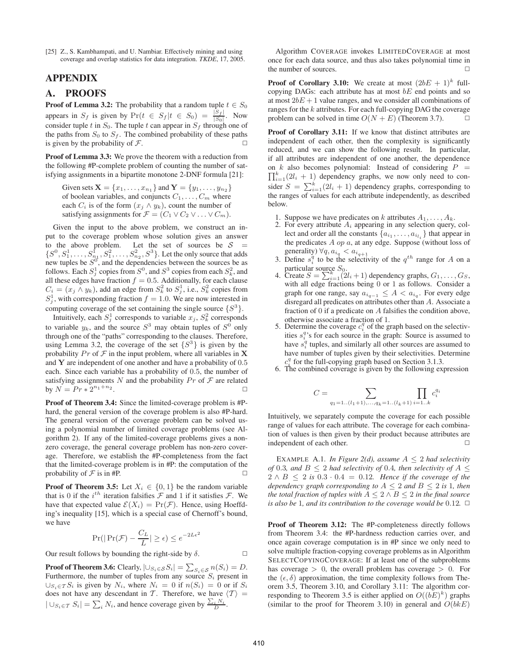[25] Z., S. Kambhampati, and U. Nambiar. Effectively mining and using coverage and overlap statistics for data integration. *TKDE*, 17, 2005.

# **APPENDIX**

# **A. PROOFS**

**Proof of Lemma 3.2:** The probability that a random tuple  $t \in S_0$ appears in  $S_f$  is given by  $Pr(t \in S_f | t \in S_0) = \frac{|S_f|}{|S_0|}$ . Now consider tuple t in  $S_0$ . The tuple t can appear in  $S_f$  through one of the paths from  $S_0$  to  $S_f$ . The combined probability of these paths is given by the probability of  $\mathcal{F}$ .

**Proof of Lemma 3.3:** We prove the theorem with a reduction from the following #P-complete problem of counting the number of satisfying assignments in a bipartite monotone 2-DNF formula [21]:

Given sets  $X = \{x_1, ..., x_{n_1}\}$  and  $Y = \{y_1, ..., y_{n_2}\}$ of boolean variables, and conjuncts  $C_1, \ldots, C_m$  where each  $C_i$  is of the form  $(x_j \wedge y_k)$ , count the number of satisfying assignments for  $\mathcal{F} = (C_1 \vee C_2 \vee \ldots \vee C_m).$ 

Given the input to the above problem, we construct an input to the coverage problem whose solution gives an answer to the above problem. Let the set of sources be  $S =$  $\{S^0, S_1^1, \ldots, S_{n_1}^1, S_1^2, \ldots, S_{n_2}^2, S^3\}$ . Let the only source that adds new tuples be  $S^0$ , and the dependencies between the sources be as follows. Each  $S_j^1$  copies from  $S^0$ , and  $S^3$  copies from each  $S_k^2$ , and all these edges have fraction  $f = 0.5$ . Additionally, for each clause  $C_i = (x_j \wedge y_k)$ , add an edge from  $S_k^2$  to  $S_j^1$ , i.e.,  $S_k^2$  copies from  $S_j^1$ , with corresponding fraction  $f = 1.0$ . We are now interested in computing coverage of the set containing the single source  $\{S^3\}$ .

Intuitively, each  $S_j^1$  corresponds to variable  $x_j$ ,  $S_k^2$  corresponds to variable  $y_k$ , and the source  $S^3$  may obtain tuples of  $S^0$  only through one of the "paths" corresponding to the clauses. Therefore, using Lemma 3.2, the coverage of the set  $\{S^3\}$  is given by the probability  $Pr$  of  $\mathcal F$  in the input problem, where all variables in  $X$ and  $Y$  are independent of one another and have a probability of  $0.5$ each. Since each variable has a probability of 0.5, the number of satisfying assignments N and the probability  $Pr$  of  $\mathcal F$  are related by  $N = Pr * 2^{n_1+n_2}$ . □<br>.

**Proof of Theorem 3.4:** Since the limited-coverage problem is #Phard, the general version of the coverage problem is also #P-hard. The general version of the coverage problem can be solved using a polynomial number of limited coverage problems (see Algorithm 2). If any of the limited-coverage problems gives a nonzero coverage, the general coverage problem has non-zero coverage. Therefore, we establish the #P-completeness from the fact that the limited-coverage problem is in #P: the computation of the probability of  $\mathcal F$  is in #P.

**Proof of Theorem 3.5:** Let  $X_i \in \{0, 1\}$  be the random variable that is 0 if the  $i^{th}$  iteration falsifies  $\mathcal F$  and 1 if it satisfies  $\mathcal F$ . We have that expected value  $\mathcal{E}(X_i) = \Pr(\mathcal{F})$ . Hence, using Hoeffding's inequality [15], which is a special case of Chernoff's bound, we have

$$
\Pr(|\Pr(\mathcal{F}) - \frac{C_L}{L}| \ge \epsilon) \le e^{-2L\epsilon^2}
$$

Our result follows by bounding the right-side by  $\delta$ .

**Proof of Theorem 3.6:** Clearly,  $\left| \cup_{S_i \in \mathcal{S}} S_i \right| = \sum_{S_i \in \mathcal{S}} n(S_i) = D.$ Furthermore, the number of tuples from any source  $S_i$  present in  $\bigcup_{S_i \in T} S_i$  is given by  $N_i$ , where  $N_i = 0$  if  $n(S_i) = 0$  or if  $S_i$ does not have any descendant in T. Therefore, we have  $\langle T \rangle$  =  $|\bigcup_{S_i \in \mathcal{T}} S_i| = \sum_i N_i$ , and hence coverage given by  $\frac{\sum_i N_i}{D}$ .

Algorithm COVERAGE invokes LIMITEDCOVERAGE at most once for each data source, and thus also takes polynomial time in the number of sources.

**Proof of Corollary 3.10:** We create at most  $(2bE + 1)^k$  fullcopying DAGs: each attribute has at most  $bE$  end points and so at most  $2bE + 1$  value ranges, and we consider all combinations of ranges for the  $k$  attributes. For each full-copying DAG the coverage problem can be solved in time  $O(N + E)$  (Theorem 3.7).

**Proof of Corollary 3.11:** If we know that distinct attributes are independent of each other, then the complexity is significantly reduced, and we can show the following result. In particular, if all attributes are independent of one another, the dependence on k also becomes polynomial: Instead of considering  $P = \prod_{i=1}^{k} (2l_i + 1)$  dependency graphs, we now only need to consider  $S = \sum_{i=1}^{k} (2l_i + 1)$  dependency graphs, corresponding to the ranges of values for each attribute independently, as described below.

- 1. Suppose we have predicates on k attributes  $A_1, \ldots, A_k$ .
- 2. For every attribute  $A_i$  appearing in any selection query, collect and order all the constants  $\{a_{i_1}, \ldots, a_{i_{l_i}}\}$  that appear in the predicates  $A$  op  $a$ , at any edge. Suppose (without loss of generality)  $\forall q, a_{i_q} < a_{i_{q+1}}$
- 3. Define  $s_i^q$  to be the selectivity of the  $q^{th}$  range for A on a
- particular source  $S_0$ .<br>4. Create  $S = \sum_{i=1}^{k} (2l_i + 1)$  dependency graphs,  $G_1, \ldots, G_S$ , with all edge fractions being 0 or 1 as follows. Consider a graph for one range, say  $a_{i_{q-1}} \leq A < a_{i_q}$ . For every edge disregard all predicates on attributes other than A. Associate a fraction of 0 if a predicate on A falsifies the condition above, otherwise associate a fraction of 1.
- 5. Determine the coverage  $c_i^q$  of the graph based on the selectivities  $s_i^q$ 's for each source in the graph: Source is assumed to have  $s_i^q$  tuples, and similarly all other sources are assumed to have number of tuples given by their selectivities. Determine  $c_i^q$  for the full-copying graph based on Section 3.1.3.
- $\epsilon_i$  for the fun-copying graph based on section 5.1.5.<br>6. The combined coverage is given by the following expression

$$
C=\sum_{q_1=1..(l_1+1),...,\bar{q}_k=1..(l_k+1)}\prod_{i=1..k}c_i^{q_i}
$$

Intuitively, we separately compute the coverage for each possible range of values for each attribute. The coverage for each combination of values is then given by their product because attributes are independent of each other.  $\Box$ 

EXAMPLE A.1. *In Figure 2(d), assume*  $A \leq 2$  *had selectivity of* 0.3*, and*  $B \le 2$  *had selectivity of* 0.4*, then selectivity of*  $A \le$ 2 ∧ B ≤ 2 *is* 0.3 · 0.4 = 0.12*. Hence if the coverage of the dependency graph corresponding to*  $A \leq 2$  *and*  $B \leq 2$  *is* 1*, then the total fraction of tuples with*  $A \leq 2 \land B \leq 2$  *in the final source is also be* 1*, and its contribution to the coverage would be*  $0.12$ *.*  $\Box$ 

**Proof of Theorem 3.12:** The #P-completeness directly follows from Theorem 3.4: the #P-hardness reduction carries over, and once again coverage computation is in #P since we only need to solve multiple fraction-copying coverage problems as in Algorithm SELECTCOPYINGCOVERAGE: If at least one of the subproblems has coverage  $> 0$ , the overall problem has coverage  $> 0$ . For the  $(\epsilon, \delta)$  approximation, the time complexity follows from Theorem 3.5, Theorem 3.10, and Corollary 3.11: The algorithm corresponding to Theorem 3.5 is either applied on  $O((bE)^k)$  graphs (similar to the proof for Theorem 3.10) in general and  $O(bkE)$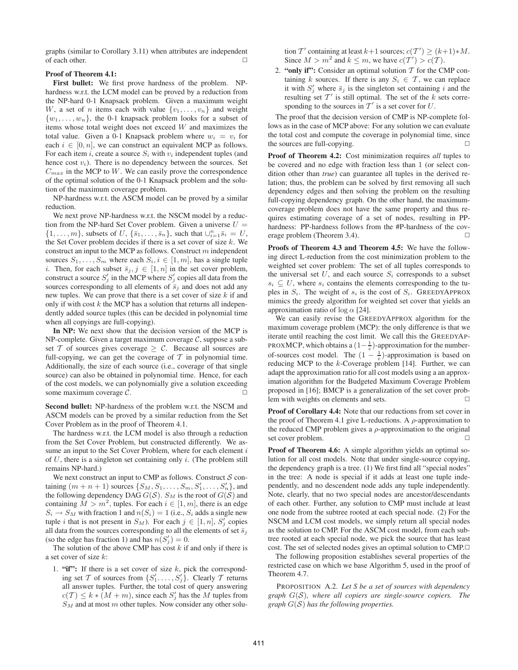graphs (similar to Corollary 3.11) when attributes are independent of each other.

# **Proof of Theorem 4.1:**

**First bullet:** We first prove hardness of the problem. NPhardness w.r.t. the LCM model can be proved by a reduction from the NP-hard 0-1 Knapsack problem. Given a maximum weight W, a set of n items each with value  $\{v_1, \ldots, v_n\}$  and weight  $\{w_1, \ldots, w_n\}$ , the 0-1 knapsack problem looks for a subset of items whose total weight does not exceed W and maximizes the total value. Given a 0-1 Knapsack problem where  $w_i = v_i$  for each  $i \in [0, n]$ , we can construct an equivalent MCP as follows. For each item i, create a source  $S_i$  with  $v_i$  independent tuples (and hence cost  $v_i$ ). There is no dependency between the sources. Set  $C_{max}$  in the MCP to W. We can easily prove the correspondence of the optimal solution of the 0-1 Knapsack problem and the solution of the maximum coverage problem.

NP-hardness w.r.t. the ASCM model can be proved by a similar reduction.

We next prove NP-hardness w.r.t. the NSCM model by a reduction from the NP-hard Set Cover problem. Given a universe  $U =$  $\{1,\ldots,m\}$ , subsets of U,  $\{\bar{s}_1,\ldots,\bar{s}_n\}$ , such that  $\bigcup_{i=1}^n \bar{s}_i = U$ , the Set Cover problem decides if there is a set cover of size  $k$ . We construct an input to the MCP as follows. Construct  $m$  independent sources  $S_1, \ldots, S_m$  where each  $S_i, i \in [1, m]$ , has a single tuple i. Then, for each subset  $\bar{s}_j, j \in [1, n]$  in the set cover problem, construct a source  $S'_j$  in the MCP where  $S'_j$  copies all data from the sources corresponding to all elements of  $\bar{s}_j$  and does not add any new tuples. We can prove that there is a set cover of size  $k$  if and only if with cost  $k$  the MCP has a solution that returns all independently added source tuples (this can be decided in polynomial time when all copyings are full-copying).

**In NP:** We next show that the decision version of the MCP is NP-complete. Given a target maximum coverage  $C$ , suppose a subset T of sources gives coverage  $\geq$  C. Because all sources are full-copying, we can get the coverage of  $T$  in polynomial time. Additionally, the size of each source (i.e., coverage of that single source) can also be obtained in polynomial time. Hence, for each of the cost models, we can polynomially give a solution exceeding some maximum coverage  $C$ .

**Second bullet:** NP-hardness of the problem w.r.t. the NSCM and ASCM models can be proved by a similar reduction from the Set Cover Problem as in the proof of Theorem 4.1.

The hardness w.r.t. the LCM model is also through a reduction from the Set Cover Problem, but constructed differently. We assume an input to the Set Cover Problem, where for each element i of  $U$ , there is a singleton set containing only  $i$ . (The problem still remains NP-hard.)

We next construct an input to CMP as follows. Construct  $S$  containing  $(m+n+1)$  sources  $\{S_M, S_1, \ldots, S_m, S'_1, \ldots, S'_n\}$ , and the following dependency DAG  $G(S)$ .  $S_M$  is the root of  $G(S)$  and containing  $M > m^2$ , tuples. For each  $i \in [1, m]$ , there is an edge  $S_i \rightarrow S_M$  with fraction 1 and  $n(S_i) = 1$  (i.e.,  $S_i$  adds a single new tuple *i* that is not present in  $S_M$ ). For each  $j \in [1, n]$ ,  $S'_j$  copies all data from the sources corresponding to all the elements of set  $\bar{s}_i$ (so the edge has fraction 1) and has  $n(S'_j) = 0$ .

The solution of the above CMP has cost  $k$  if and only if there is a set cover of size k:

1. **"if":** If there is a set cover of size k, pick the corresponding set T of sources from  $\{S'_1, \ldots, S'_j\}$ . Clearly T returns all answer tuples. Further, the total cost of query answering  $c(\mathcal{T}) \leq k * (M + m)$ , since each  $S'_{j}$  has the M tuples from  $S_M$  and at most m other tuples. Now consider any other solution T' containing at least  $k+1$  sources;  $c(T') \ge (k+1) * M$ . Since  $M > m^2$  and  $k \leq m$ , we have  $c(T') > c(T)$ .

2. **"only if":** Consider an optimal solution  $T$  for the CMP containing k sources. If there is any  $S_i \in \mathcal{T}$ , we can replace it with  $S'_j$  where  $\bar{s}_j$  is the singleton set containing i and the resulting set  $T'$  is still optimal. The set of the k sets corresponding to the sources in  $T'$  is a set cover for U.

The proof that the decision version of CMP is NP-complete follows as in the case of MCP above: For any solution we can evaluate the total cost and compute the coverage in polynomial time, since the sources are full-copying.

**Proof of Theorem 4.2:** Cost minimization requires *all* tuples to be covered and no edge with fraction less than 1 (or select condition other than *true*) can guarantee all tuples in the derived relation; thus, the problem can be solved by first removing all such dependency edges and then solving the problem on the resulting full-copying dependency graph. On the other hand, the maximumcoverage problem does not have the same property and thus requires estimating coverage of a set of nodes, resulting in PPhardness: PP-hardness follows from the #P-hardness of the coverage problem (Theorem 3.4).  $\Box$ 

**Proofs of Theorem 4.3 and Theorem 4.5:** We have the following direct L-reduction from the cost minimization problem to the weighted set cover problem: The set of all tuples corresponds to the universal set  $U$ , and each source  $S_i$  corresponds to a subset  $s_i \subseteq U$ , where  $s_i$  contains the elements corresponding to the tuples in  $S_i$ . The weight of  $s_i$  is the cost of  $S_i$ . GREEDYAPPROX mimics the greedy algorithm for weighted set cover that yields an approximation ratio of  $log \alpha$  [24].

We can easily revise the GREEDYAPPROX algorithm for the maximum coverage problem (MCP): the only difference is that we iterate until reaching the cost limit. We call this the GREEDYAP-PROXMCP, which obtains a  $(1 - \frac{1}{e})$ -approximation for the numberof-sources cost model. The  $(1 - \frac{1}{e})$ -approximation is based on reducing MCP to the k-Coverage problem [14]. Further, we can adapt the approximation ratio for all cost models using a an approximation algorithm for the Budgeted Maximum Coverage Problem proposed in [16]; BMCP is a generalization of the set cover problem with weights on elements and sets.  $\Box$ 

**Proof of Corollary 4.4:** Note that our reductions from set cover in the proof of Theorem 4.1 give L-reductions. A  $\rho$ -approximation to the reduced CMP problem gives a  $\rho$ -approximation to the original set cover problem.

**Proof of Theorem 4.6:** A simple algorithm yields an optimal solution for all cost models. Note that under single-source copying, the dependency graph is a tree. (1) We first find all "special nodes" in the tree: A node is special if it adds at least one tuple independently, and no descendent node adds any tuple independently. Note, clearly, that no two special nodes are ancestor/descendants of each other. Further, any solution to CMP must include at least one node from the subtree rooted at each special node. (2) For the NSCM and LCM cost models, we simply return all special nodes as the solution to CMP. For the ASCM cost model, from each subtree rooted at each special node, we pick the source that has least cost. The set of selected nodes gives an optimal solution to CMP.

The following proposition establishes several properties of the restricted case on which we base Algorithm 5, used in the proof of Theorem 4.7.

PROPOSITION A.2. *Let S be a set of sources with dependency graph* G(S)*, where all copiers are single-source copiers. The graph* G(S) *has the following properties.*